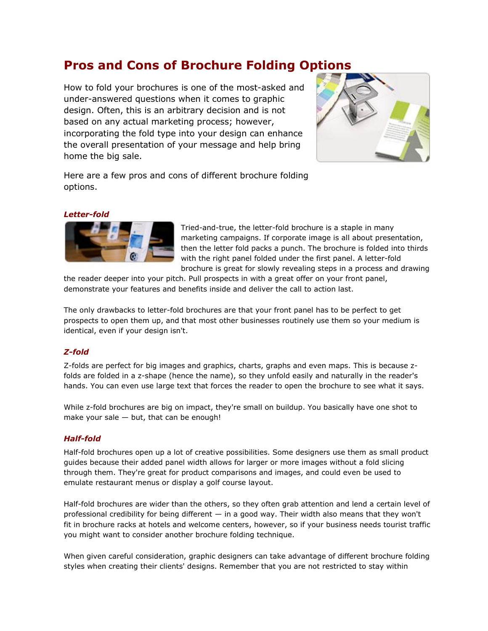# **Pros and Cons of Brochure Folding Options**

How to fold your brochures is one of the most-asked and under-answered questions when it comes to graphic design. Often, this is an arbitrary decision and is not based on any actual marketing process; however, incorporating the fold type into your design can enhance the overall presentation of your message and help bring home the big sale.



Here are a few pros and cons of different brochure folding options.

### *Letter-fold*



Tried-and-true, the letter-fold brochure is a staple in many marketing campaigns. If corporate image is all about presentation, then the letter fold packs a punch. The brochure is folded into thirds with the right panel folded under the first panel. A letter-fold brochure is great for slowly revealing steps in a process and drawing

the reader deeper into your pitch. Pull prospects in with a great offer on your front panel, demonstrate your features and benefits inside and deliver the call to action last.

The only drawbacks to letter-fold brochures are that your front panel has to be perfect to get prospects to open them up, and that most other businesses routinely use them so your medium is identical, even if your design isn't.

# *Z-fold*

Z-folds are perfect for big images and graphics, charts, graphs and even maps. This is because zfolds are folded in a z-shape (hence the name), so they unfold easily and naturally in the reader's hands. You can even use large text that forces the reader to open the brochure to see what it says.

While z-fold brochures are big on impact, they're small on buildup. You basically have one shot to make your sale  $-$  but, that can be enough!

# *Half-fold*

Half-fold brochures open up a lot of creative possibilities. Some designers use them as small product guides because their added panel width allows for larger or more images without a fold slicing through them. They're great for product comparisons and images, and could even be used to emulate restaurant menus or display a golf course layout.

Half-fold brochures are wider than the others, so they often grab attention and lend a certain level of professional credibility for being different — in a good way. Their width also means that they won't fit in brochure racks at hotels and welcome centers, however, so if your business needs tourist traffic you might want to consider another brochure folding technique.

When given careful consideration, graphic designers can take advantage of different brochure folding styles when creating their clients' designs. Remember that you are not restricted to stay within